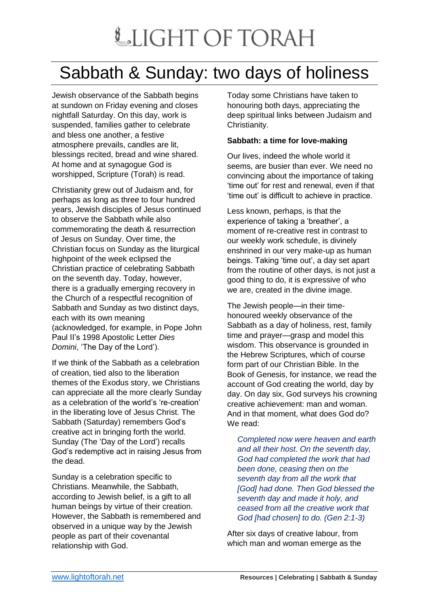## LIGHT OF TORAH

## Sabbath & Sunday: two days of holiness

Jewish observance of the Sabbath begins at sundown on Friday evening and closes nightfall Saturday. On this day, work is suspended, families gather to celebrate and bless one another, a festive atmosphere prevails, candles are lit, blessings recited, bread and wine shared. At home and at synagogue God is worshipped, Scripture (Torah) is read.

Christianity grew out of Judaism and, for perhaps as long as three to four hundred years, Jewish disciples of Jesus continued to observe the Sabbath while also commemorating the death & resurrection of Jesus on Sunday. Over time, the Christian focus on Sunday as the liturgical highpoint of the week eclipsed the Christian practice of celebrating Sabbath on the seventh day. Today, however, there is a gradually emerging recovery in the Church of a respectful recognition of Sabbath and Sunday as two distinct days, each with its own meaning (acknowledged, for example, in Pope John Paul II's 1998 Apostolic Letter *Dies Domini*, 'The Day of the Lord').

If we think of the Sabbath as a celebration of creation, tied also to the liberation themes of the Exodus story, we Christians can appreciate all the more clearly Sunday as a celebration of the world's 're-creation' in the liberating love of Jesus Christ. The Sabbath (Saturday) remembers God's creative act in bringing forth the world. Sunday (The 'Day of the Lord') recalls God's redemptive act in raising Jesus from the dead.

Sunday is a celebration specific to Christians. Meanwhile, the Sabbath, according to Jewish belief, is a gift to all human beings by virtue of their creation. However, the Sabbath is remembered and observed in a unique way by the Jewish people as part of their covenantal relationship with God.

Today some Christians have taken to honouring both days, appreciating the deep spiritual links between Judaism and Christianity.

## **Sabbath: a time for love-making**

Our lives, indeed the whole world it seems, are busier than ever. We need no convincing about the importance of taking 'time out' for rest and renewal, even if that 'time out' is difficult to achieve in practice.

Less known, perhaps, is that the experience of taking a 'breather', a moment of re-creative rest in contrast to our weekly work schedule, is divinely enshrined in our very make-up as human beings. Taking 'time out', a day set apart from the routine of other days, is not just a good thing to do, it is expressive of who we are, created in the divine image.

The Jewish people—in their timehonoured weekly observance of the Sabbath as a day of holiness, rest, family time and prayer—grasp and model this wisdom. This observance is grounded in the Hebrew Scriptures, which of course form part of our Christian Bible. In the Book of Genesis, for instance, we read the account of God creating the world, day by day. On day six, God surveys his crowning creative achievement: man and woman. And in that moment, what does God do? We read:

*Completed now were heaven and earth and all their host. On the seventh day, God had completed the work that had been done, ceasing then on the seventh day from all the work that [God] had done. Then God blessed the seventh day and made it holy, and ceased from all the creative work that God [had chosen] to do. (Gen 2:1-3)*

After six days of creative labour, from which man and woman emerge as the